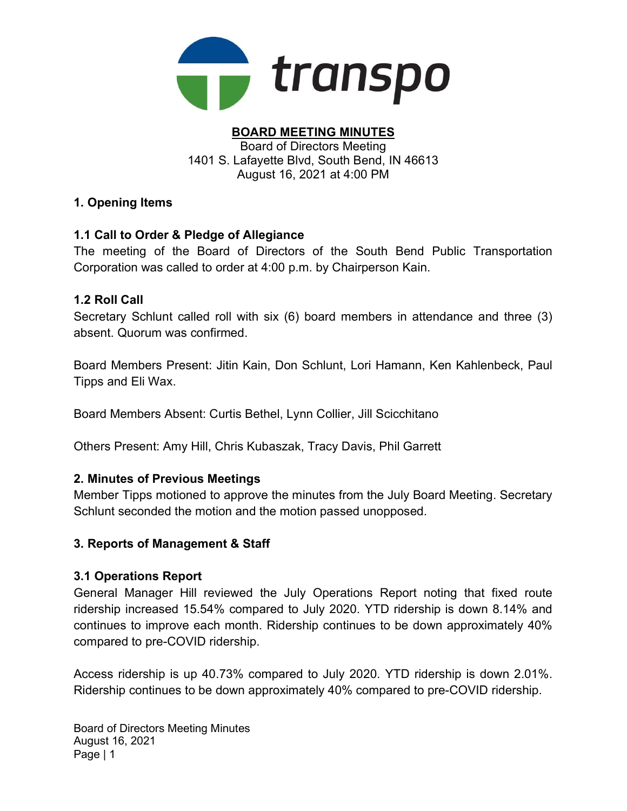

#### BOARD MEETING MINUTES Board of Directors Meeting 1401 S. Lafayette Blvd, South Bend, IN 46613 August 16, 2021 at 4:00 PM

# 1. Opening Items

# 1.1 Call to Order & Pledge of Allegiance

The meeting of the Board of Directors of the South Bend Public Transportation Corporation was called to order at 4:00 p.m. by Chairperson Kain.

### 1.2 Roll Call

Secretary Schlunt called roll with six (6) board members in attendance and three (3) absent. Quorum was confirmed.

Board Members Present: Jitin Kain, Don Schlunt, Lori Hamann, Ken Kahlenbeck, Paul Tipps and Eli Wax.

Board Members Absent: Curtis Bethel, Lynn Collier, Jill Scicchitano

Others Present: Amy Hill, Chris Kubaszak, Tracy Davis, Phil Garrett

### 2. Minutes of Previous Meetings

Member Tipps motioned to approve the minutes from the July Board Meeting. Secretary Schlunt seconded the motion and the motion passed unopposed.

### 3. Reports of Management & Staff

#### 3.1 Operations Report

General Manager Hill reviewed the July Operations Report noting that fixed route ridership increased 15.54% compared to July 2020. YTD ridership is down 8.14% and continues to improve each month. Ridership continues to be down approximately 40% compared to pre-COVID ridership.

Access ridership is up 40.73% compared to July 2020. YTD ridership is down 2.01%. Ridership continues to be down approximately 40% compared to pre-COVID ridership.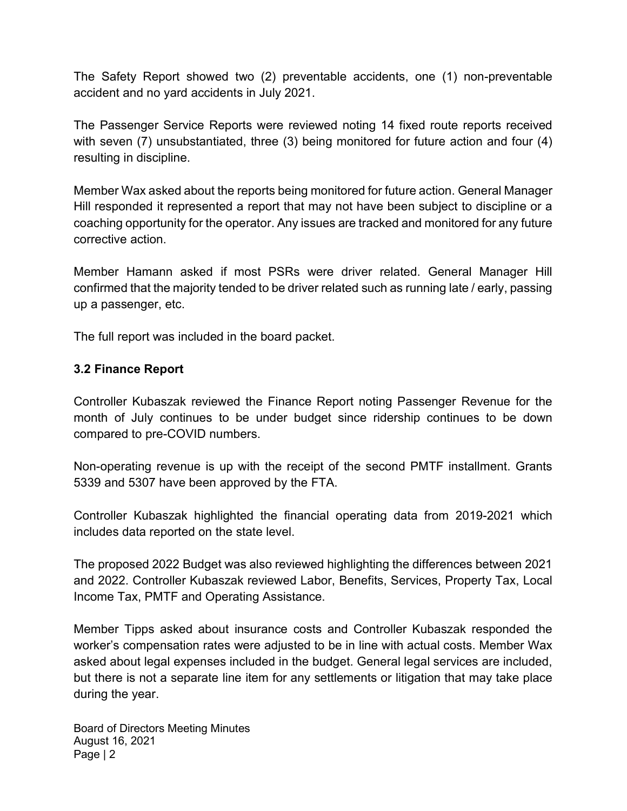The Safety Report showed two (2) preventable accidents, one (1) non-preventable accident and no yard accidents in July 2021.

The Passenger Service Reports were reviewed noting 14 fixed route reports received with seven (7) unsubstantiated, three (3) being monitored for future action and four (4) resulting in discipline.

Member Wax asked about the reports being monitored for future action. General Manager Hill responded it represented a report that may not have been subject to discipline or a coaching opportunity for the operator. Any issues are tracked and monitored for any future corrective action.

Member Hamann asked if most PSRs were driver related. General Manager Hill confirmed that the majority tended to be driver related such as running late / early, passing up a passenger, etc.

The full report was included in the board packet.

### 3.2 Finance Report

Controller Kubaszak reviewed the Finance Report noting Passenger Revenue for the month of July continues to be under budget since ridership continues to be down compared to pre-COVID numbers.

Non-operating revenue is up with the receipt of the second PMTF installment. Grants 5339 and 5307 have been approved by the FTA.

Controller Kubaszak highlighted the financial operating data from 2019-2021 which includes data reported on the state level.

The proposed 2022 Budget was also reviewed highlighting the differences between 2021 and 2022. Controller Kubaszak reviewed Labor, Benefits, Services, Property Tax, Local Income Tax, PMTF and Operating Assistance.

Member Tipps asked about insurance costs and Controller Kubaszak responded the worker's compensation rates were adjusted to be in line with actual costs. Member Wax asked about legal expenses included in the budget. General legal services are included, but there is not a separate line item for any settlements or litigation that may take place during the year.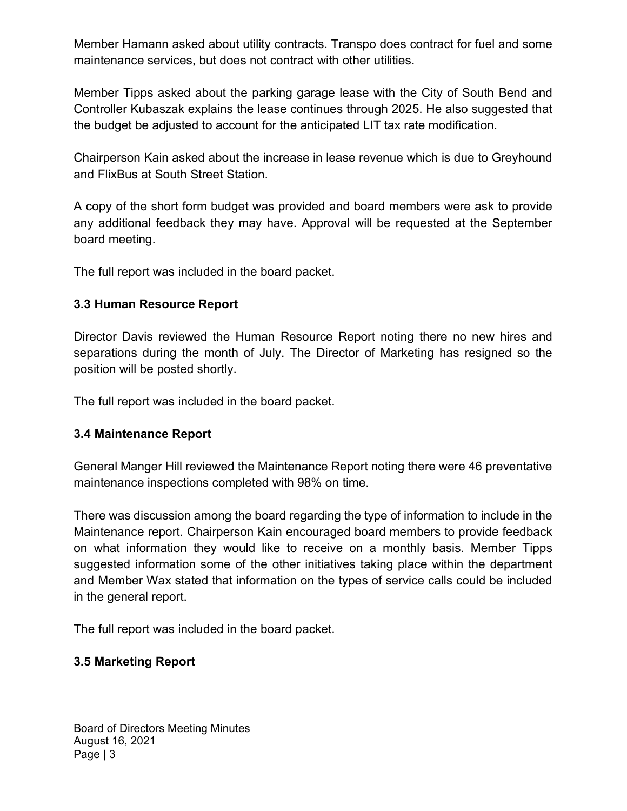Member Hamann asked about utility contracts. Transpo does contract for fuel and some maintenance services, but does not contract with other utilities.

Member Tipps asked about the parking garage lease with the City of South Bend and Controller Kubaszak explains the lease continues through 2025. He also suggested that the budget be adjusted to account for the anticipated LIT tax rate modification.

Chairperson Kain asked about the increase in lease revenue which is due to Greyhound and FlixBus at South Street Station.

A copy of the short form budget was provided and board members were ask to provide any additional feedback they may have. Approval will be requested at the September board meeting.

The full report was included in the board packet.

### 3.3 Human Resource Report

Director Davis reviewed the Human Resource Report noting there no new hires and separations during the month of July. The Director of Marketing has resigned so the position will be posted shortly.

The full report was included in the board packet.

### 3.4 Maintenance Report

General Manger Hill reviewed the Maintenance Report noting there were 46 preventative maintenance inspections completed with 98% on time.

There was discussion among the board regarding the type of information to include in the Maintenance report. Chairperson Kain encouraged board members to provide feedback on what information they would like to receive on a monthly basis. Member Tipps suggested information some of the other initiatives taking place within the department and Member Wax stated that information on the types of service calls could be included in the general report.

The full report was included in the board packet.

### 3.5 Marketing Report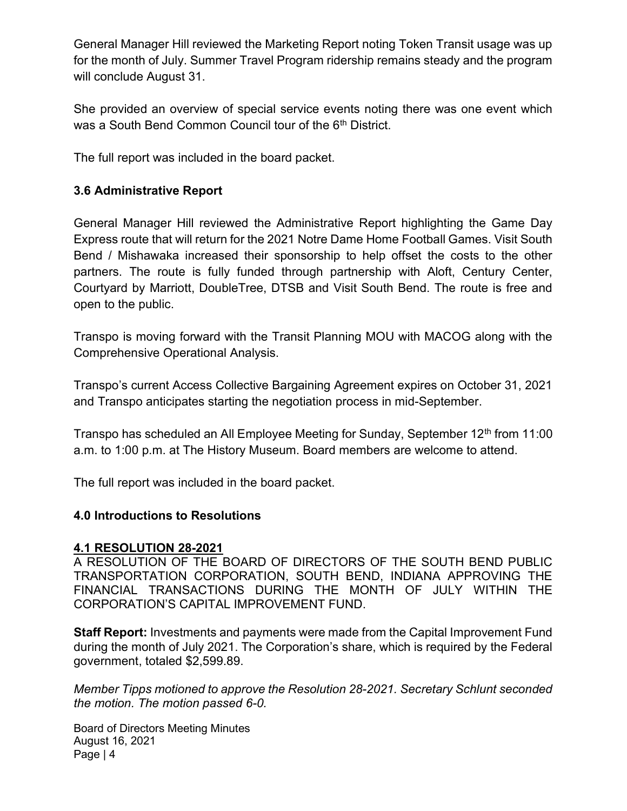General Manager Hill reviewed the Marketing Report noting Token Transit usage was up for the month of July. Summer Travel Program ridership remains steady and the program will conclude August 31.

She provided an overview of special service events noting there was one event which was a South Bend Common Council tour of the 6<sup>th</sup> District.

The full report was included in the board packet.

### 3.6 Administrative Report

General Manager Hill reviewed the Administrative Report highlighting the Game Day Express route that will return for the 2021 Notre Dame Home Football Games. Visit South Bend / Mishawaka increased their sponsorship to help offset the costs to the other partners. The route is fully funded through partnership with Aloft, Century Center, Courtyard by Marriott, DoubleTree, DTSB and Visit South Bend. The route is free and open to the public.

Transpo is moving forward with the Transit Planning MOU with MACOG along with the Comprehensive Operational Analysis.

Transpo's current Access Collective Bargaining Agreement expires on October 31, 2021 and Transpo anticipates starting the negotiation process in mid-September.

Transpo has scheduled an All Employee Meeting for Sunday, September 12<sup>th</sup> from 11:00 a.m. to 1:00 p.m. at The History Museum. Board members are welcome to attend.

The full report was included in the board packet.

#### 4.0 Introductions to Resolutions

#### 4.1 RESOLUTION 28-2021

A RESOLUTION OF THE BOARD OF DIRECTORS OF THE SOUTH BEND PUBLIC TRANSPORTATION CORPORATION, SOUTH BEND, INDIANA APPROVING THE FINANCIAL TRANSACTIONS DURING THE MONTH OF JULY WITHIN THE CORPORATION'S CAPITAL IMPROVEMENT FUND.

Staff Report: Investments and payments were made from the Capital Improvement Fund during the month of July 2021. The Corporation's share, which is required by the Federal government, totaled \$2,599.89.

Member Tipps motioned to approve the Resolution 28-2021. Secretary Schlunt seconded the motion. The motion passed 6-0.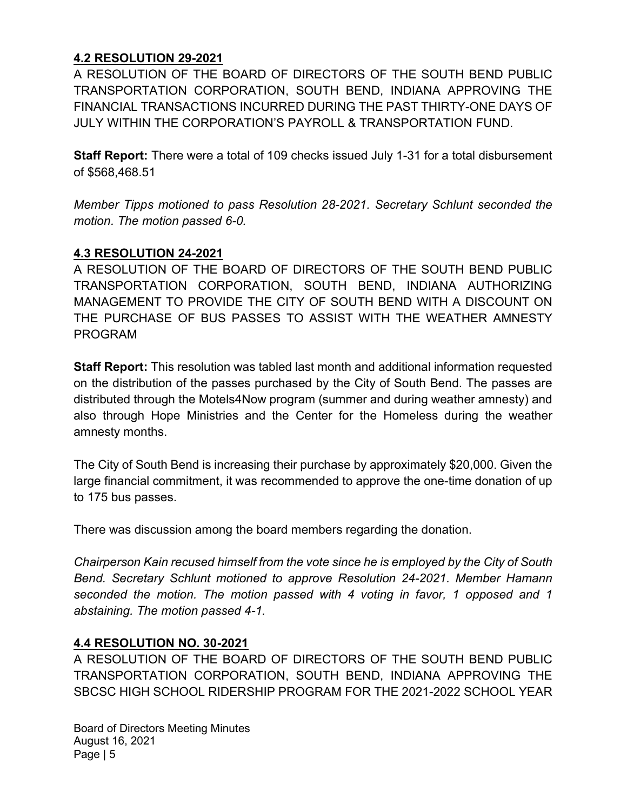# 4.2 RESOLUTION 29-2021

A RESOLUTION OF THE BOARD OF DIRECTORS OF THE SOUTH BEND PUBLIC TRANSPORTATION CORPORATION, SOUTH BEND, INDIANA APPROVING THE FINANCIAL TRANSACTIONS INCURRED DURING THE PAST THIRTY-ONE DAYS OF JULY WITHIN THE CORPORATION'S PAYROLL & TRANSPORTATION FUND.

Staff Report: There were a total of 109 checks issued July 1-31 for a total disbursement of \$568,468.51

Member Tipps motioned to pass Resolution 28-2021. Secretary Schlunt seconded the motion. The motion passed 6-0.

### 4.3 RESOLUTION 24-2021

A RESOLUTION OF THE BOARD OF DIRECTORS OF THE SOUTH BEND PUBLIC TRANSPORTATION CORPORATION, SOUTH BEND, INDIANA AUTHORIZING MANAGEMENT TO PROVIDE THE CITY OF SOUTH BEND WITH A DISCOUNT ON THE PURCHASE OF BUS PASSES TO ASSIST WITH THE WEATHER AMNESTY PROGRAM

Staff Report: This resolution was tabled last month and additional information requested on the distribution of the passes purchased by the City of South Bend. The passes are distributed through the Motels4Now program (summer and during weather amnesty) and also through Hope Ministries and the Center for the Homeless during the weather amnesty months.

The City of South Bend is increasing their purchase by approximately \$20,000. Given the large financial commitment, it was recommended to approve the one-time donation of up to 175 bus passes.

There was discussion among the board members regarding the donation.

Chairperson Kain recused himself from the vote since he is employed by the City of South Bend. Secretary Schlunt motioned to approve Resolution 24-2021. Member Hamann seconded the motion. The motion passed with 4 voting in favor, 1 opposed and 1 abstaining. The motion passed 4-1.

### 4.4 RESOLUTION NO. 30-2021

A RESOLUTION OF THE BOARD OF DIRECTORS OF THE SOUTH BEND PUBLIC TRANSPORTATION CORPORATION, SOUTH BEND, INDIANA APPROVING THE SBCSC HIGH SCHOOL RIDERSHIP PROGRAM FOR THE 2021-2022 SCHOOL YEAR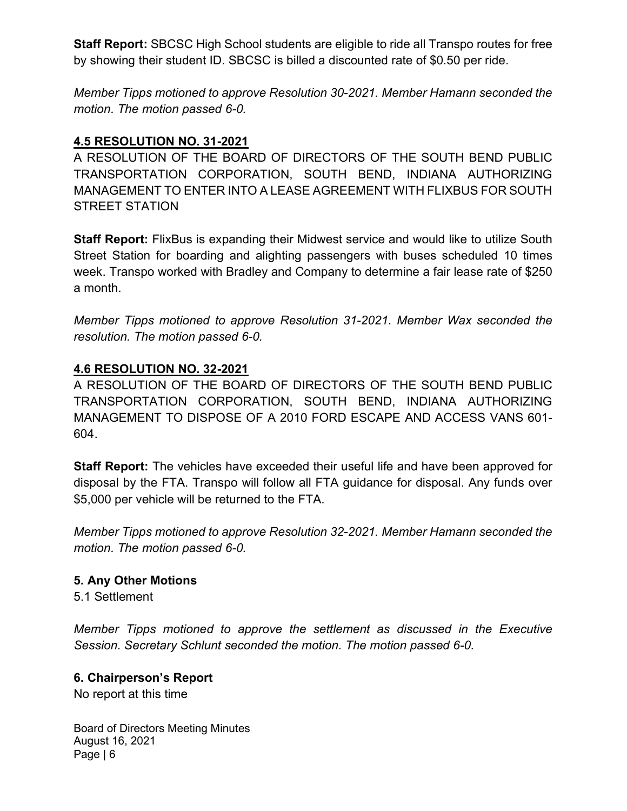Staff Report: SBCSC High School students are eligible to ride all Transpo routes for free by showing their student ID. SBCSC is billed a discounted rate of \$0.50 per ride.

Member Tipps motioned to approve Resolution 30-2021. Member Hamann seconded the motion. The motion passed 6-0.

### 4.5 RESOLUTION NO. 31-2021

A RESOLUTION OF THE BOARD OF DIRECTORS OF THE SOUTH BEND PUBLIC TRANSPORTATION CORPORATION, SOUTH BEND, INDIANA AUTHORIZING MANAGEMENT TO ENTER INTO A LEASE AGREEMENT WITH FLIXBUS FOR SOUTH STREET STATION

Staff Report: FlixBus is expanding their Midwest service and would like to utilize South Street Station for boarding and alighting passengers with buses scheduled 10 times week. Transpo worked with Bradley and Company to determine a fair lease rate of \$250 a month.

Member Tipps motioned to approve Resolution 31-2021. Member Wax seconded the resolution. The motion passed 6-0.

### 4.6 RESOLUTION NO. 32-2021

A RESOLUTION OF THE BOARD OF DIRECTORS OF THE SOUTH BEND PUBLIC TRANSPORTATION CORPORATION, SOUTH BEND, INDIANA AUTHORIZING MANAGEMENT TO DISPOSE OF A 2010 FORD ESCAPE AND ACCESS VANS 601- 604.

**Staff Report:** The vehicles have exceeded their useful life and have been approved for disposal by the FTA. Transpo will follow all FTA guidance for disposal. Any funds over \$5,000 per vehicle will be returned to the FTA.

Member Tipps motioned to approve Resolution 32-2021. Member Hamann seconded the motion. The motion passed 6-0.

#### 5. Any Other Motions

5.1 Settlement

Member Tipps motioned to approve the settlement as discussed in the Executive Session. Secretary Schlunt seconded the motion. The motion passed 6-0.

#### 6. Chairperson's Report

No report at this time